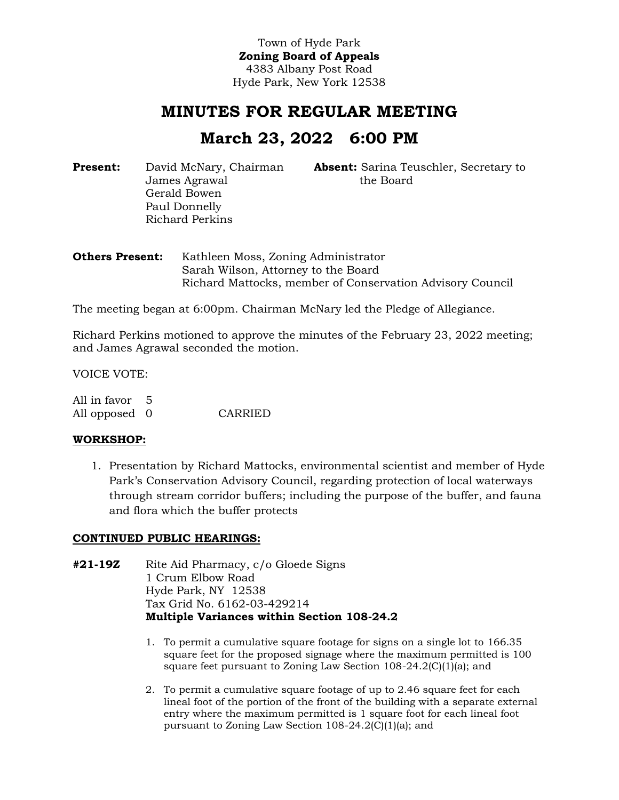Town of Hyde Park **Zoning Board of Appeals** 4383 Albany Post Road Hyde Park, New York 12538

## **MINUTES FOR REGULAR MEETING**

# **March 23, 2022 6:00 PM**

**Present:** David McNary, Chairman James Agrawal Gerald Bowen Paul Donnelly Richard Perkins

**Absent:** Sarina Teuschler, Secretary to the Board

**Others Present:** Kathleen Moss, Zoning Administrator Sarah Wilson, Attorney to the Board Richard Mattocks, member of Conservation Advisory Council

The meeting began at 6:00pm. Chairman McNary led the Pledge of Allegiance.

Richard Perkins motioned to approve the minutes of the February 23, 2022 meeting; and James Agrawal seconded the motion.

VOICE VOTE:

All in favor 5 All opposed 0 CARRIED

#### **WORKSHOP:**

1. Presentation by Richard Mattocks, environmental scientist and member of Hyde Park's Conservation Advisory Council, regarding protection of local waterways through stream corridor buffers; including the purpose of the buffer, and fauna and flora which the buffer protects

## **CONTINUED PUBLIC HEARINGS:**

- **#21-19Z** Rite Aid Pharmacy, c/o Gloede Signs 1 Crum Elbow Road Hyde Park, NY 12538 Tax Grid No. 6162-03-429214 **Multiple Variances within Section 108-24.2**
	- 1. To permit a cumulative square footage for signs on a single lot to 166.35 square feet for the proposed signage where the maximum permitted is 100 square feet pursuant to Zoning Law Section 108-24.2(C)(1)(a); and
	- 2. To permit a cumulative square footage of up to 2.46 square feet for each lineal foot of the portion of the front of the building with a separate external entry where the maximum permitted is 1 square foot for each lineal foot pursuant to Zoning Law Section 108-24.2(C)(1)(a); and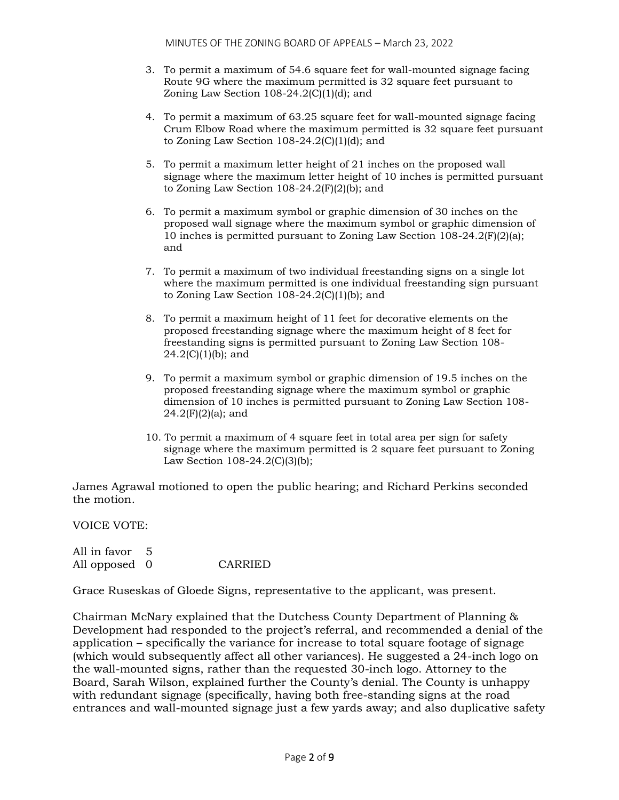- 3. To permit a maximum of 54.6 square feet for wall-mounted signage facing Route 9G where the maximum permitted is 32 square feet pursuant to Zoning Law Section  $108-24.2(C)(1)(d)$ ; and
- 4. To permit a maximum of 63.25 square feet for wall-mounted signage facing Crum Elbow Road where the maximum permitted is 32 square feet pursuant to Zoning Law Section  $108-24.2$ (C)(1)(d); and
- 5. To permit a maximum letter height of 21 inches on the proposed wall signage where the maximum letter height of 10 inches is permitted pursuant to Zoning Law Section  $108-24.2(F)(2)(b)$ ; and
- 6. To permit a maximum symbol or graphic dimension of 30 inches on the proposed wall signage where the maximum symbol or graphic dimension of 10 inches is permitted pursuant to Zoning Law Section 108-24.2(F)(2)(a); and
- 7. To permit a maximum of two individual freestanding signs on a single lot where the maximum permitted is one individual freestanding sign pursuant to Zoning Law Section  $108-24.2(C)(1)(b)$ ; and
- 8. To permit a maximum height of 11 feet for decorative elements on the proposed freestanding signage where the maximum height of 8 feet for freestanding signs is permitted pursuant to Zoning Law Section 108-  $24.2(C)(1)(b)$ ; and
- 9. To permit a maximum symbol or graphic dimension of 19.5 inches on the proposed freestanding signage where the maximum symbol or graphic dimension of 10 inches is permitted pursuant to Zoning Law Section 108-  $24.2(F)(2)(a)$ ; and
- 10. To permit a maximum of 4 square feet in total area per sign for safety signage where the maximum permitted is 2 square feet pursuant to Zoning Law Section  $108-24.2(C)(3)(b)$ ;

James Agrawal motioned to open the public hearing; and Richard Perkins seconded the motion.

VOICE VOTE:

All in favor 5 All opposed 0 CARRIED

Grace Ruseskas of Gloede Signs, representative to the applicant, was present.

Chairman McNary explained that the Dutchess County Department of Planning & Development had responded to the project's referral, and recommended a denial of the application – specifically the variance for increase to total square footage of signage (which would subsequently affect all other variances). He suggested a 24-inch logo on the wall-mounted signs, rather than the requested 30-inch logo. Attorney to the Board, Sarah Wilson, explained further the County's denial. The County is unhappy with redundant signage (specifically, having both free-standing signs at the road entrances and wall-mounted signage just a few yards away; and also duplicative safety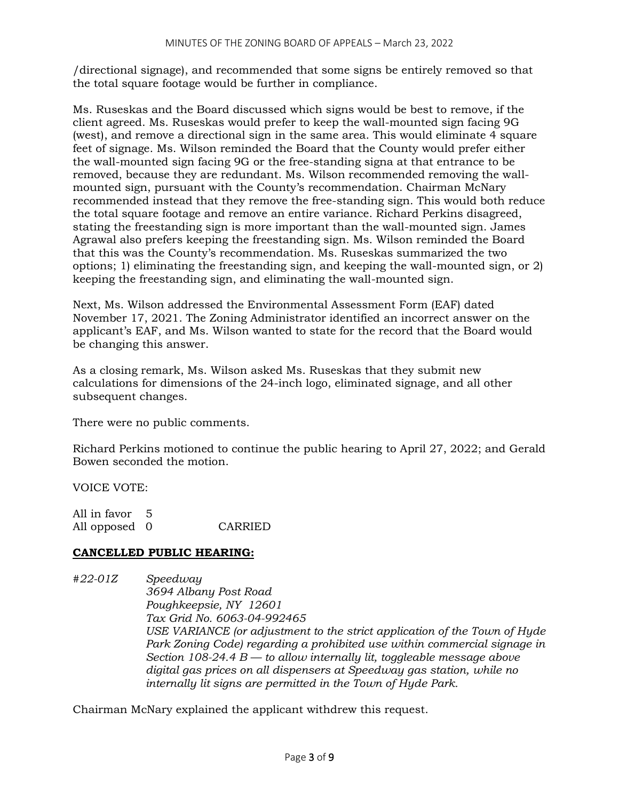/directional signage), and recommended that some signs be entirely removed so that the total square footage would be further in compliance.

Ms. Ruseskas and the Board discussed which signs would be best to remove, if the client agreed. Ms. Ruseskas would prefer to keep the wall-mounted sign facing 9G (west), and remove a directional sign in the same area. This would eliminate 4 square feet of signage. Ms. Wilson reminded the Board that the County would prefer either the wall-mounted sign facing 9G or the free-standing signa at that entrance to be removed, because they are redundant. Ms. Wilson recommended removing the wallmounted sign, pursuant with the County's recommendation. Chairman McNary recommended instead that they remove the free-standing sign. This would both reduce the total square footage and remove an entire variance. Richard Perkins disagreed, stating the freestanding sign is more important than the wall-mounted sign. James Agrawal also prefers keeping the freestanding sign. Ms. Wilson reminded the Board that this was the County's recommendation. Ms. Ruseskas summarized the two options; 1) eliminating the freestanding sign, and keeping the wall-mounted sign, or 2) keeping the freestanding sign, and eliminating the wall-mounted sign.

Next, Ms. Wilson addressed the Environmental Assessment Form (EAF) dated November 17, 2021. The Zoning Administrator identified an incorrect answer on the applicant's EAF, and Ms. Wilson wanted to state for the record that the Board would be changing this answer.

As a closing remark, Ms. Wilson asked Ms. Ruseskas that they submit new calculations for dimensions of the 24-inch logo, eliminated signage, and all other subsequent changes.

There were no public comments.

Richard Perkins motioned to continue the public hearing to April 27, 2022; and Gerald Bowen seconded the motion.

VOICE VOTE:

All in favor 5 All opposed 0 CARRIED

## **CANCELLED PUBLIC HEARING:**

*#22-01Z Speedway 3694 Albany Post Road Poughkeepsie, NY 12601 Tax Grid No. 6063-04-992465 USE VARIANCE (or adjustment to the strict application of the Town of Hyde Park Zoning Code) regarding a prohibited use within commercial signage in Section 108-24.4 B — to allow internally lit, toggleable message above digital gas prices on all dispensers at Speedway gas station, while no internally lit signs are permitted in the Town of Hyde Park.*

Chairman McNary explained the applicant withdrew this request.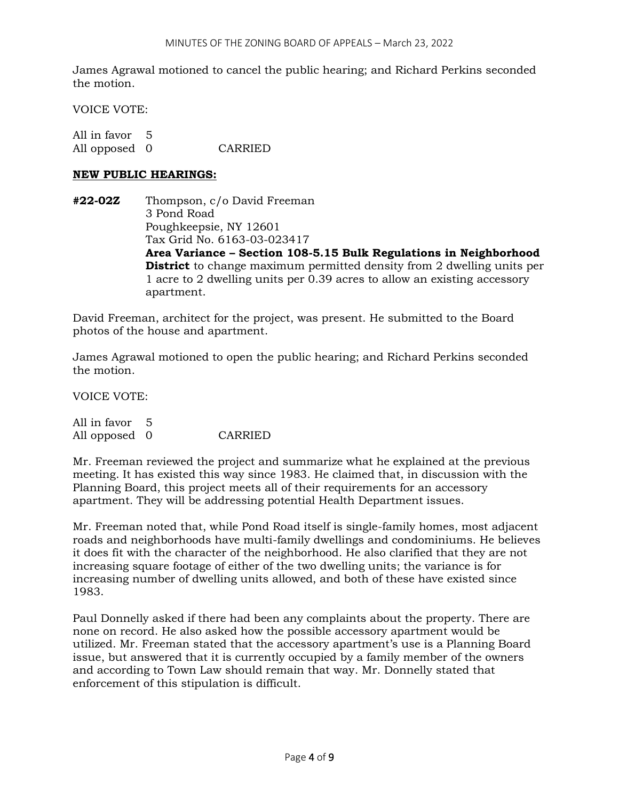James Agrawal motioned to cancel the public hearing; and Richard Perkins seconded the motion.

VOICE VOTE:

All in favor 5 All opposed 0 CARRIED

### **NEW PUBLIC HEARINGS:**

**#22-02Z** Thompson, c/o David Freeman 3 Pond Road Poughkeepsie, NY 12601 Tax Grid No. 6163-03-023417 **Area Variance – Section 108-5.15 Bulk Regulations in Neighborhood District** to change maximum permitted density from 2 dwelling units per 1 acre to 2 dwelling units per 0.39 acres to allow an existing accessory apartment.

David Freeman, architect for the project, was present. He submitted to the Board photos of the house and apartment.

James Agrawal motioned to open the public hearing; and Richard Perkins seconded the motion.

VOICE VOTE:

All in favor 5 All opposed 0 CARRIED

Mr. Freeman reviewed the project and summarize what he explained at the previous meeting. It has existed this way since 1983. He claimed that, in discussion with the Planning Board, this project meets all of their requirements for an accessory apartment. They will be addressing potential Health Department issues.

Mr. Freeman noted that, while Pond Road itself is single-family homes, most adjacent roads and neighborhoods have multi-family dwellings and condominiums. He believes it does fit with the character of the neighborhood. He also clarified that they are not increasing square footage of either of the two dwelling units; the variance is for increasing number of dwelling units allowed, and both of these have existed since 1983.

Paul Donnelly asked if there had been any complaints about the property. There are none on record. He also asked how the possible accessory apartment would be utilized. Mr. Freeman stated that the accessory apartment's use is a Planning Board issue, but answered that it is currently occupied by a family member of the owners and according to Town Law should remain that way. Mr. Donnelly stated that enforcement of this stipulation is difficult.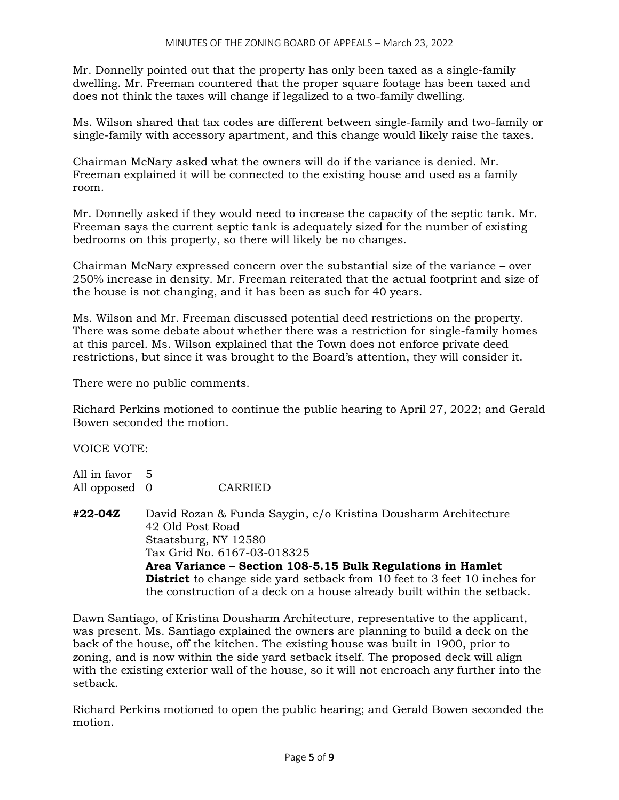Mr. Donnelly pointed out that the property has only been taxed as a single-family dwelling. Mr. Freeman countered that the proper square footage has been taxed and does not think the taxes will change if legalized to a two-family dwelling.

Ms. Wilson shared that tax codes are different between single-family and two-family or single-family with accessory apartment, and this change would likely raise the taxes.

Chairman McNary asked what the owners will do if the variance is denied. Mr. Freeman explained it will be connected to the existing house and used as a family room.

Mr. Donnelly asked if they would need to increase the capacity of the septic tank. Mr. Freeman says the current septic tank is adequately sized for the number of existing bedrooms on this property, so there will likely be no changes.

Chairman McNary expressed concern over the substantial size of the variance – over 250% increase in density. Mr. Freeman reiterated that the actual footprint and size of the house is not changing, and it has been as such for 40 years.

Ms. Wilson and Mr. Freeman discussed potential deed restrictions on the property. There was some debate about whether there was a restriction for single-family homes at this parcel. Ms. Wilson explained that the Town does not enforce private deed restrictions, but since it was brought to the Board's attention, they will consider it.

There were no public comments.

Richard Perkins motioned to continue the public hearing to April 27, 2022; and Gerald Bowen seconded the motion.

VOICE VOTE:

| All in favor 5 |                |
|----------------|----------------|
| All opposed 0  | <b>CARRIED</b> |

**#22-04Z** David Rozan & Funda Saygin, c/o Kristina Dousharm Architecture 42 Old Post Road Staatsburg, NY 12580 Tax Grid No. 6167-03-018325 **Area Variance – Section 108-5.15 Bulk Regulations in Hamlet District** to change side yard setback from 10 feet to 3 feet 10 inches for the construction of a deck on a house already built within the setback.

Dawn Santiago, of Kristina Dousharm Architecture, representative to the applicant, was present. Ms. Santiago explained the owners are planning to build a deck on the back of the house, off the kitchen. The existing house was built in 1900, prior to zoning, and is now within the side yard setback itself. The proposed deck will align with the existing exterior wall of the house, so it will not encroach any further into the setback.

Richard Perkins motioned to open the public hearing; and Gerald Bowen seconded the motion.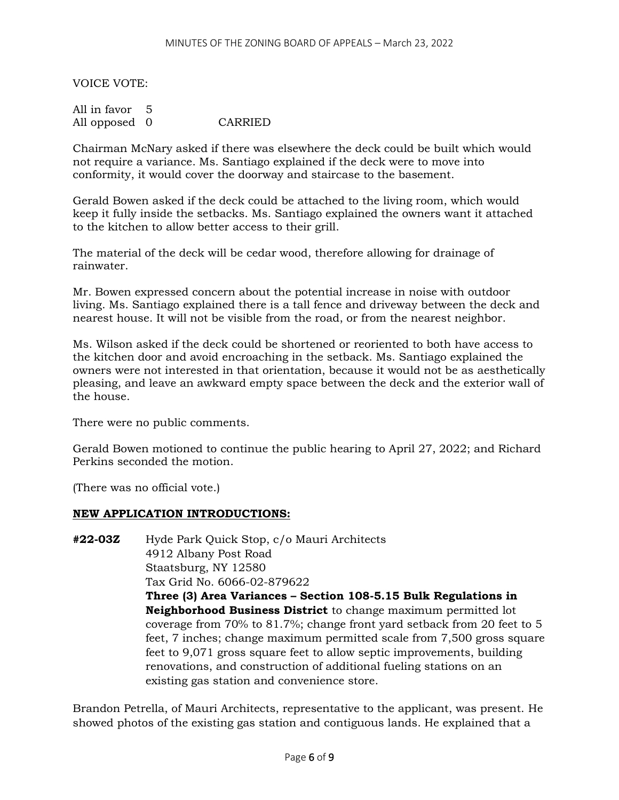VOICE VOTE:

| All in favor 5 |         |
|----------------|---------|
| All opposed 0  | CARRIED |

Chairman McNary asked if there was elsewhere the deck could be built which would not require a variance. Ms. Santiago explained if the deck were to move into conformity, it would cover the doorway and staircase to the basement.

Gerald Bowen asked if the deck could be attached to the living room, which would keep it fully inside the setbacks. Ms. Santiago explained the owners want it attached to the kitchen to allow better access to their grill.

The material of the deck will be cedar wood, therefore allowing for drainage of rainwater.

Mr. Bowen expressed concern about the potential increase in noise with outdoor living. Ms. Santiago explained there is a tall fence and driveway between the deck and nearest house. It will not be visible from the road, or from the nearest neighbor.

Ms. Wilson asked if the deck could be shortened or reoriented to both have access to the kitchen door and avoid encroaching in the setback. Ms. Santiago explained the owners were not interested in that orientation, because it would not be as aesthetically pleasing, and leave an awkward empty space between the deck and the exterior wall of the house.

There were no public comments.

Gerald Bowen motioned to continue the public hearing to April 27, 2022; and Richard Perkins seconded the motion.

(There was no official vote.)

#### **NEW APPLICATION INTRODUCTIONS:**

**#22-03Z** Hyde Park Quick Stop, c/o Mauri Architects 4912 Albany Post Road Staatsburg, NY 12580 Tax Grid No. 6066-02-879622 **Three (3) Area Variances – Section 108-5.15 Bulk Regulations in Neighborhood Business District** to change maximum permitted lot coverage from 70% to 81.7%; change front yard setback from 20 feet to 5 feet, 7 inches; change maximum permitted scale from 7,500 gross square feet to 9,071 gross square feet to allow septic improvements, building renovations, and construction of additional fueling stations on an existing gas station and convenience store.

Brandon Petrella, of Mauri Architects, representative to the applicant, was present. He showed photos of the existing gas station and contiguous lands. He explained that a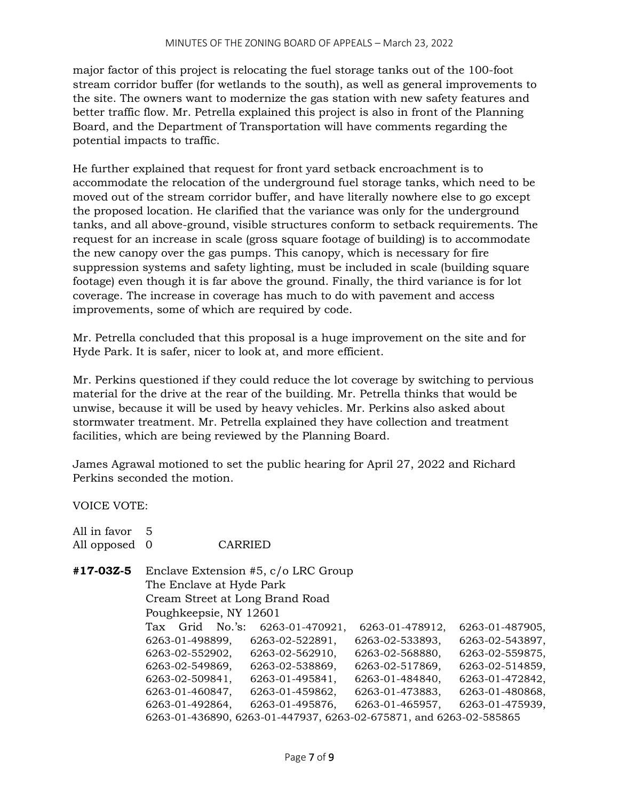major factor of this project is relocating the fuel storage tanks out of the 100-foot stream corridor buffer (for wetlands to the south), as well as general improvements to the site. The owners want to modernize the gas station with new safety features and better traffic flow. Mr. Petrella explained this project is also in front of the Planning Board, and the Department of Transportation will have comments regarding the potential impacts to traffic.

He further explained that request for front yard setback encroachment is to accommodate the relocation of the underground fuel storage tanks, which need to be moved out of the stream corridor buffer, and have literally nowhere else to go except the proposed location. He clarified that the variance was only for the underground tanks, and all above-ground, visible structures conform to setback requirements. The request for an increase in scale (gross square footage of building) is to accommodate the new canopy over the gas pumps. This canopy, which is necessary for fire suppression systems and safety lighting, must be included in scale (building square footage) even though it is far above the ground. Finally, the third variance is for lot coverage. The increase in coverage has much to do with pavement and access improvements, some of which are required by code.

Mr. Petrella concluded that this proposal is a huge improvement on the site and for Hyde Park. It is safer, nicer to look at, and more efficient.

Mr. Perkins questioned if they could reduce the lot coverage by switching to pervious material for the drive at the rear of the building. Mr. Petrella thinks that would be unwise, because it will be used by heavy vehicles. Mr. Perkins also asked about stormwater treatment. Mr. Petrella explained they have collection and treatment facilities, which are being reviewed by the Planning Board.

James Agrawal motioned to set the public hearing for April 27, 2022 and Richard Perkins seconded the motion.

VOICE VOTE:

| All in favor<br>All opposed 0 | 5                                                                  |  | CARRIED |                 |                             |  |                 |  |  |                 |
|-------------------------------|--------------------------------------------------------------------|--|---------|-----------------|-----------------------------|--|-----------------|--|--|-----------------|
| #17-03Z-5                     | Enclave Extension #5, c/o LRC Group<br>The Enclave at Hyde Park    |  |         |                 |                             |  |                 |  |  |                 |
|                               | Cream Street at Long Brand Road                                    |  |         |                 |                             |  |                 |  |  |                 |
|                               | Poughkeepsie, NY 12601                                             |  |         |                 |                             |  |                 |  |  |                 |
|                               | Tax                                                                |  |         |                 | Grid No.'s: 6263-01-470921, |  | 6263-01-478912, |  |  | 6263-01-487905, |
|                               | 6263-01-498899,                                                    |  |         | 6263-02-522891, |                             |  | 6263-02-533893, |  |  | 6263-02-543897, |
|                               | 6263-02-552902,                                                    |  |         | 6263-02-562910, |                             |  | 6263-02-568880, |  |  | 6263-02-559875, |
|                               | 6263-02-549869,                                                    |  |         | 6263-02-538869, |                             |  | 6263-02-517869, |  |  | 6263-02-514859, |
|                               | 6263-02-509841,                                                    |  |         | 6263-01-495841, |                             |  | 6263-01-484840, |  |  | 6263-01-472842, |
|                               | 6263-01-460847,                                                    |  |         | 6263-01-459862, |                             |  | 6263-01-473883, |  |  | 6263-01-480868, |
|                               | 6263-01-492864,                                                    |  |         | 6263-01-495876, |                             |  | 6263-01-465957, |  |  | 6263-01-475939, |
|                               | 6263-01-436890, 6263-01-447937, 6263-02-675871, and 6263-02-585865 |  |         |                 |                             |  |                 |  |  |                 |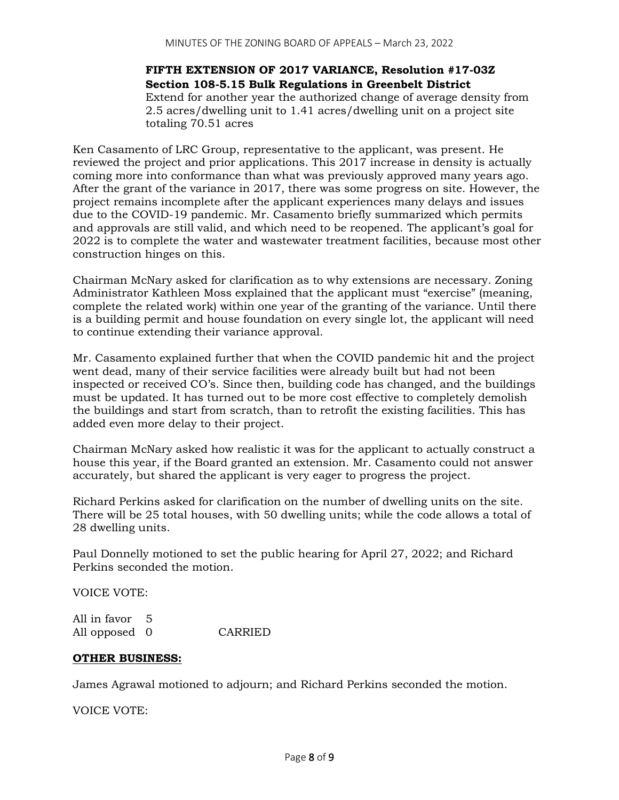**FIFTH EXTENSION OF 2017 VARIANCE, Resolution #17-03Z Section 108-5.15 Bulk Regulations in Greenbelt District** Extend for another year the authorized change of average density from 2.5 acres/dwelling unit to 1.41 acres/dwelling unit on a project site totaling 70.51 acres

Ken Casamento of LRC Group, representative to the applicant, was present. He reviewed the project and prior applications. This 2017 increase in density is actually coming more into conformance than what was previously approved many years ago. After the grant of the variance in 2017, there was some progress on site. However, the project remains incomplete after the applicant experiences many delays and issues due to the COVID-19 pandemic. Mr. Casamento briefly summarized which permits and approvals are still valid, and which need to be reopened. The applicant's goal for 2022 is to complete the water and wastewater treatment facilities, because most other construction hinges on this.

Chairman McNary asked for clarification as to why extensions are necessary. Zoning Administrator Kathleen Moss explained that the applicant must "exercise" (meaning, complete the related work) within one year of the granting of the variance. Until there is a building permit and house foundation on every single lot, the applicant will need to continue extending their variance approval.

Mr. Casamento explained further that when the COVID pandemic hit and the project went dead, many of their service facilities were already built but had not been inspected or received CO's. Since then, building code has changed, and the buildings must be updated. It has turned out to be more cost effective to completely demolish the buildings and start from scratch, than to retrofit the existing facilities. This has added even more delay to their project.

Chairman McNary asked how realistic it was for the applicant to actually construct a house this year, if the Board granted an extension. Mr. Casamento could not answer accurately, but shared the applicant is very eager to progress the project.

Richard Perkins asked for clarification on the number of dwelling units on the site. There will be 25 total houses, with 50 dwelling units; while the code allows a total of 28 dwelling units.

Paul Donnelly motioned to set the public hearing for April 27, 2022; and Richard Perkins seconded the motion.

VOICE VOTE:

All in favor 5 All opposed 0 CARRIED

#### **OTHER BUSINESS:**

James Agrawal motioned to adjourn; and Richard Perkins seconded the motion.

VOICE VOTE: